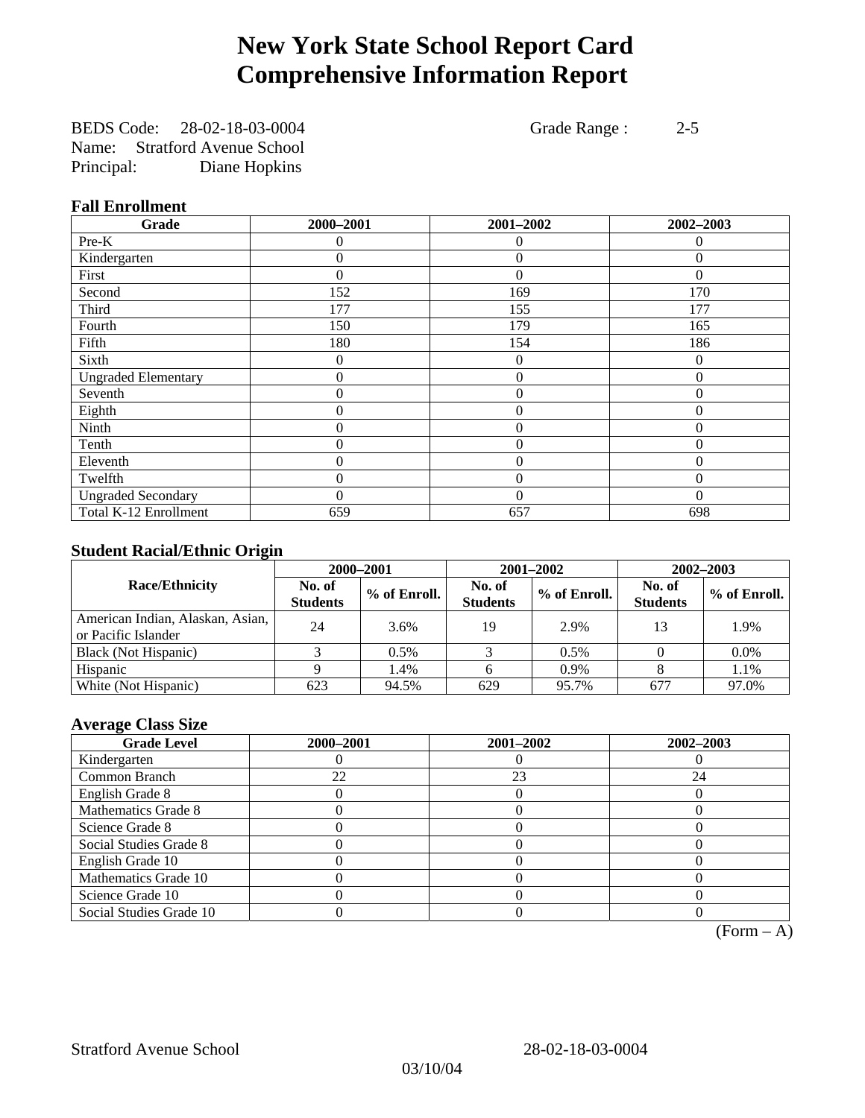# **New York State School Report Card Comprehensive Information Report**

BEDS Code: 28-02-18-03-0004 Grade Range : 2-5 Name: Stratford Avenue School Principal: Diane Hopkins

### **Fall Enrollment**

| Grade                      | 2000-2001        | 2001-2002      | 2002-2003 |
|----------------------------|------------------|----------------|-----------|
| Pre-K                      | 0                | $\theta$       | $\Omega$  |
| Kindergarten               | 0                | $\theta$       | 0         |
| First                      | $\theta$         | $\theta$       | $\Omega$  |
| Second                     | 152              | 169            | 170       |
| Third                      | 177              | 155            | 177       |
| Fourth                     | 150              | 179            | 165       |
| Fifth                      | 180              | 154            | 186       |
| Sixth                      | 0                | $\theta$       | $\theta$  |
| <b>Ungraded Elementary</b> | 0                | $\mathbf{0}$   | $\theta$  |
| Seventh                    | $\boldsymbol{0}$ | $\overline{0}$ | $\theta$  |
| Eighth                     | 0                | $\overline{0}$ | $\Omega$  |
| Ninth                      | 0                | $\overline{0}$ | $\theta$  |
| Tenth                      | 0                | $\overline{0}$ | $\theta$  |
| Eleventh                   | 0                | $\overline{0}$ | $\theta$  |
| Twelfth                    | 0                | $\overline{0}$ | $\Omega$  |
| <b>Ungraded Secondary</b>  | 0                | $\theta$       | $\theta$  |
| Total K-12 Enrollment      | 659              | 657            | 698       |

### **Student Racial/Ethnic Origin**

|                                                         | 2000-2001                 |              |                           | 2001-2002    | 2002-2003                 |                |
|---------------------------------------------------------|---------------------------|--------------|---------------------------|--------------|---------------------------|----------------|
| <b>Race/Ethnicity</b>                                   | No. of<br><b>Students</b> | % of Enroll. | No. of<br><b>Students</b> | % of Enroll. | No. of<br><b>Students</b> | $%$ of Enroll. |
| American Indian, Alaskan, Asian,<br>or Pacific Islander | 24                        | 3.6%         | 19                        | 2.9%         | 13                        | 1.9%           |
| Black (Not Hispanic)                                    |                           | $0.5\%$      |                           | 0.5%         |                           | $0.0\%$        |
| Hispanic                                                |                           | 1.4%         |                           | 0.9%         |                           | 1.1%           |
| White (Not Hispanic)                                    | 623                       | 94.5%        | 629                       | 95.7%        | 677                       | 97.0%          |

### **Average Class Size**

| <b>Grade Level</b>      | 2000-2001 | 2001-2002 | 2002-2003 |
|-------------------------|-----------|-----------|-----------|
| Kindergarten            |           |           |           |
| Common Branch           | 22        | 23        | 24        |
| English Grade 8         |           |           |           |
| Mathematics Grade 8     |           |           |           |
| Science Grade 8         |           |           |           |
| Social Studies Grade 8  |           |           |           |
| English Grade 10        |           |           |           |
| Mathematics Grade 10    |           |           |           |
| Science Grade 10        |           |           |           |
| Social Studies Grade 10 |           |           |           |

 $(Form - A)$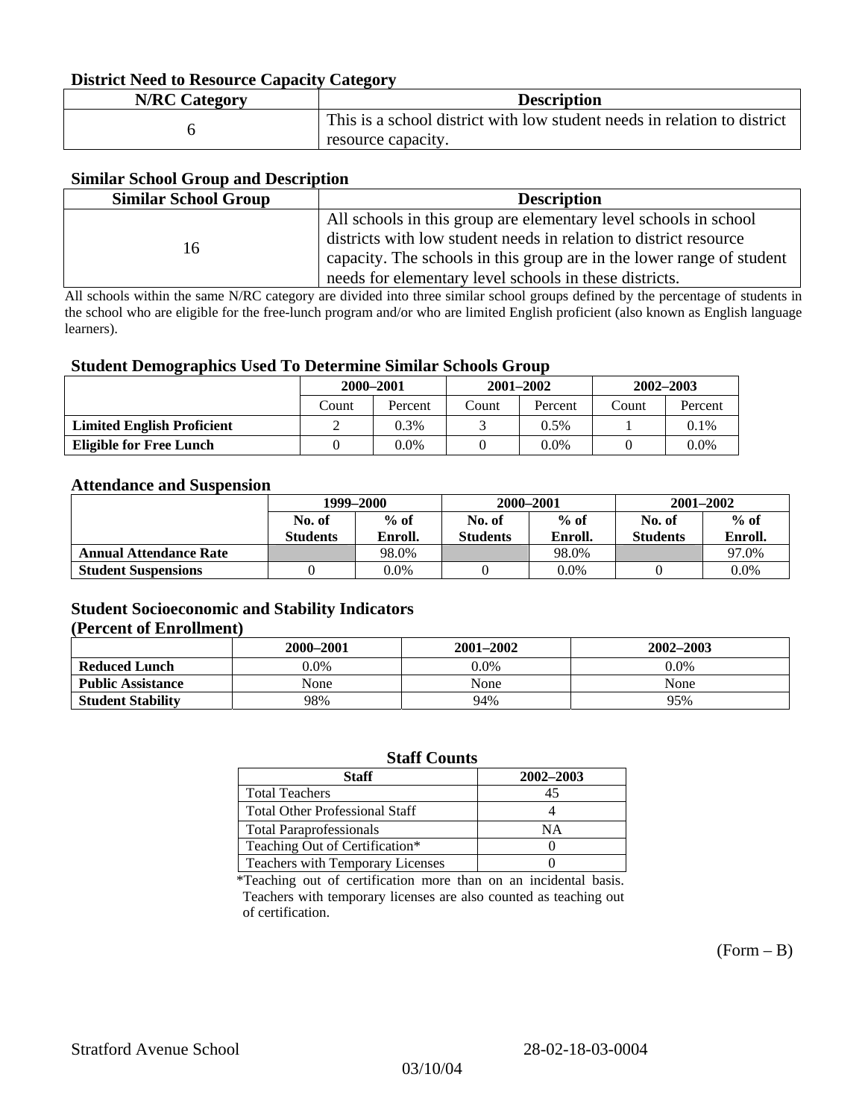### **District Need to Resource Capacity Category**

| <b>N/RC Category</b> | <b>Description</b>                                                                             |
|----------------------|------------------------------------------------------------------------------------------------|
|                      | This is a school district with low student needs in relation to district<br>resource capacity. |

### **Similar School Group and Description**

| <b>Similar School Group</b> | <b>Description</b>                                                    |
|-----------------------------|-----------------------------------------------------------------------|
|                             | All schools in this group are elementary level schools in school      |
| 16                          | districts with low student needs in relation to district resource     |
|                             | capacity. The schools in this group are in the lower range of student |
|                             | needs for elementary level schools in these districts.                |

All schools within the same N/RC category are divided into three similar school groups defined by the percentage of students in the school who are eligible for the free-lunch program and/or who are limited English proficient (also known as English language learners).

#### **Student Demographics Used To Determine Similar Schools Group**

|                                   | 2000-2001 |         | $2001 - 2002$ |         | $2002 - 2003$ |         |
|-----------------------------------|-----------|---------|---------------|---------|---------------|---------|
|                                   | Count     | Percent | Count         | Percent | Count         | Percent |
| <b>Limited English Proficient</b> |           | 0.3%    |               | $0.5\%$ |               | $0.1\%$ |
| Eligible for Free Lunch           |           | 0.0%    |               | 0.0%    |               | $0.0\%$ |

#### **Attendance and Suspension**

|                               | 1999–2000<br>$%$ of<br>No. of |         | 2000-2001        |         | $2001 - 2002$   |         |
|-------------------------------|-------------------------------|---------|------------------|---------|-----------------|---------|
|                               |                               |         | $%$ of<br>No. of |         | No. of          | $%$ of  |
|                               | <b>Students</b>               | Enroll. | <b>Students</b>  | Enroll. | <b>Students</b> | Enroll. |
| <b>Annual Attendance Rate</b> |                               | 98.0%   |                  | 98.0%   |                 | 97.0%   |
| <b>Student Suspensions</b>    |                               | 0.0%    |                  | $0.0\%$ |                 | 0.0%    |

### **Student Socioeconomic and Stability Indicators (Percent of Enrollment)**

|                          | 2000-2001 | 2001-2002 | 2002-2003 |
|--------------------------|-----------|-----------|-----------|
| <b>Reduced Lunch</b>     | $0.0\%$   | $0.0\%$   | $0.0\%$   |
| <b>Public Assistance</b> | None      | None      | None      |
| <b>Student Stability</b> | 98%       | 94%       | 95%       |

#### **Staff Counts**

| Staff                                   | 2002-2003 |
|-----------------------------------------|-----------|
| <b>Total Teachers</b>                   | 45        |
| <b>Total Other Professional Staff</b>   |           |
| <b>Total Paraprofessionals</b>          | NΑ        |
| Teaching Out of Certification*          |           |
| <b>Teachers with Temporary Licenses</b> |           |

\*Teaching out of certification more than on an incidental basis. Teachers with temporary licenses are also counted as teaching out of certification.

 $(Form - B)$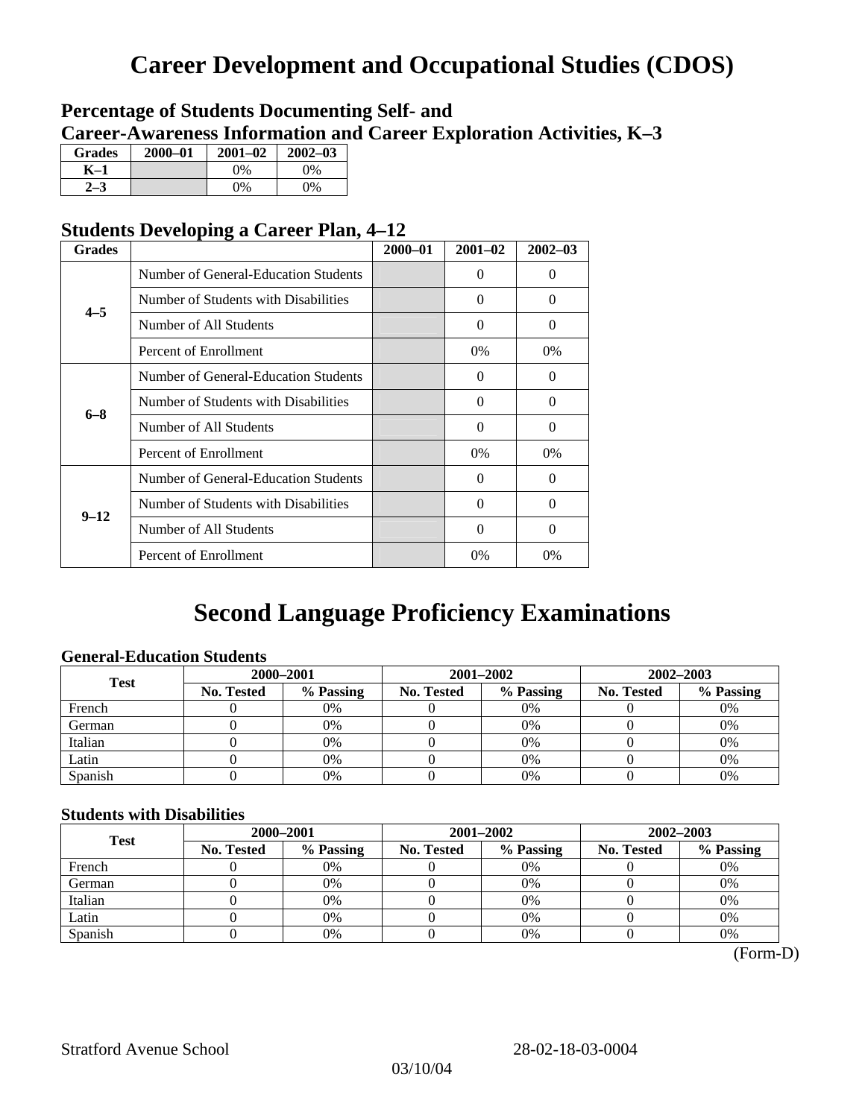# **Career Development and Occupational Studies (CDOS)**

### **Percentage of Students Documenting Self- and Career-Awareness Information and Career Exploration Activities, K–3**

| <b>Grades</b> | 2000-01 | $2001 - 02$ | $2002 - 03$ |
|---------------|---------|-------------|-------------|
| K-1           |         | $0\%$       | 0%          |
| $2 - 3$       |         | $0\%$       | $0\%$       |

### **Students Developing a Career Plan, 4–12**

| <b>Grades</b> |                                      | $2000 - 01$ | $2001 - 02$ | $2002 - 03$ |
|---------------|--------------------------------------|-------------|-------------|-------------|
|               | Number of General-Education Students |             | $\Omega$    | 0           |
| $4 - 5$       | Number of Students with Disabilities |             | $\Omega$    | 0           |
|               | Number of All Students               |             | 0           | $\Omega$    |
|               | Percent of Enrollment                |             | $0\%$       | $0\%$       |
|               | Number of General-Education Students |             | $\Omega$    | 0           |
| $6 - 8$       | Number of Students with Disabilities |             | $\Omega$    | $\Omega$    |
|               | Number of All Students               |             | $\Omega$    | $\Omega$    |
|               | Percent of Enrollment                |             | $0\%$       | $0\%$       |
|               | Number of General-Education Students |             | $\Omega$    | 0           |
| $9 - 12$      | Number of Students with Disabilities |             | $\Omega$    | $\Omega$    |
|               | Number of All Students               |             | 0           | 0           |
|               | Percent of Enrollment                |             | 0%          | $0\%$       |

# **Second Language Proficiency Examinations**

### **General-Education Students**

| <b>Test</b> | 2000-2001         |           |            | 2001-2002 | $2002 - 2003$ |           |
|-------------|-------------------|-----------|------------|-----------|---------------|-----------|
|             | <b>No. Tested</b> | % Passing | No. Tested | % Passing | No. Tested    | % Passing |
| French      |                   | 0%        |            | $0\%$     |               | 0%        |
| German      |                   | 0%        |            | $0\%$     |               | 0%        |
| Italian     |                   | 0%        |            | 0%        |               | 0%        |
| Latin       |                   | 0%        |            | 0%        |               | 0%        |
| Spanish     |                   | 0%        |            | 0%        |               | 0%        |

### **Students with Disabilities**

| <b>Test</b> | 2000-2001  |           |            | 2001-2002 | 2002-2003  |           |  |
|-------------|------------|-----------|------------|-----------|------------|-----------|--|
|             | No. Tested | % Passing | No. Tested | % Passing | No. Tested | % Passing |  |
| French      |            | 0%        |            | 0%        |            | 0%        |  |
| German      |            | 0%        |            | $0\%$     |            | 0%        |  |
| Italian     |            | 0%        |            | 0%        |            | 0%        |  |
| Latin       |            | 0%        |            | 0%        |            | 0%        |  |
| Spanish     |            | 0%        |            | 0%        |            | 0%        |  |

 <sup>(</sup>Form-D)